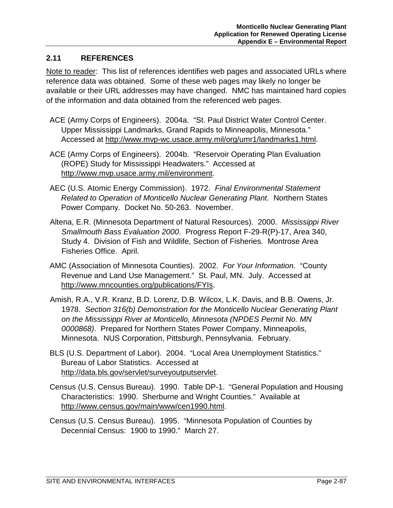## **2.11 REFERENCES**

Note to reader: This list of references identifies web pages and associated URLs where reference data was obtained. Some of these web pages may likely no longer be available or their URL addresses may have changed. NMC has maintained hard copies of the information and data obtained from the referenced web pages.

- ACE (Army Corps of Engineers). 2004a. "St. Paul District Water Control Center. Upper Mississippi Landmarks, Grand Rapids to Minneapolis, Minnesota." Accessed at http://www.mvp-wc.usace.army.mil/org/umr1/landmarks1.html.
- ACE (Army Corps of Engineers). 2004b. "Reservoir Operating Plan Evaluation (ROPE) Study for Mississippi Headwaters." Accessed at http://www.mvp.usace.army.mil/environment.
- AEC (U.S. Atomic Energy Commission). 1972. *Final Environmental Statement Related to Operation of Monticello Nuclear Generating Plant*. Northern States Power Company. Docket No. 50-263. November.
- Altena, E.R. (Minnesota Department of Natural Resources). 2000. *Mississippi River Smallmouth Bass Evaluation 2000*. Progress Report F-29-R(P)-17, Area 340, Study 4. Division of Fish and Wildlife, Section of Fisheries. Montrose Area Fisheries Office. April.
- AMC (Association of Minnesota Counties). 2002. *For Your Information.* "County Revenue and Land Use Management." St. Paul, MN. July. Accessed at http://www.mncounties.org/publications/FYIs.
- Amish, R.A., V.R. Kranz, B.D. Lorenz, D.B. Wilcox, L.K. Davis, and B.B. Owens, Jr. 1978. *Section 316(b) Demonstration for the Monticello Nuclear Generating Plant on the Mississippi River at Monticello, Minnesota (NPDES Permit No. MN 0000868)*. Prepared for Northern States Power Company, Minneapolis, Minnesota. NUS Corporation, Pittsburgh, Pennsylvania. February.
- BLS (U.S. Department of Labor). 2004. "Local Area Unemployment Statistics." Bureau of Labor Statistics. Accessed at http://data.bls.gov/servlet/surveyoutputservlet.
- Census (U.S. Census Bureau). 1990. Table DP-1. "General Population and Housing Characteristics: 1990. Sherburne and Wright Counties." Available at http://www.census.gov/main/www/cen1990.html.
- Census (U.S. Census Bureau). 1995. "Minnesota Population of Counties by Decennial Census: 1900 to 1990." March 27.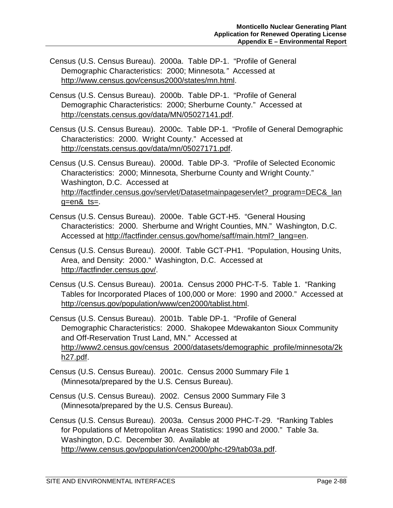- Census (U.S. Census Bureau). 2000a. Table DP-1. "Profile of General Demographic Characteristics: 2000; Minnesota*."* Accessed at http://www.census.gov/census2000/states/mn.html.
- Census (U.S. Census Bureau). 2000b. Table DP-1. "Profile of General Demographic Characteristics: 2000; Sherburne County." Accessed at http://censtats.census.gov/data/MN/05027141.pdf.
- Census (U.S. Census Bureau). 2000c. Table DP-1. "Profile of General Demographic Characteristics: 2000. Wright County." Accessed at http://censtats.census.gov/data/mn/05027171.pdf.
- Census (U.S. Census Bureau). 2000d. Table DP-3. "Profile of Selected Economic Characteristics: 2000; Minnesota, Sherburne County and Wright County." Washington, D.C. Accessed at http://factfinder.census.gov/servlet/Datasetmainpageservlet? program=DEC& lan g=en&\_ts=.
- Census (U.S. Census Bureau). 2000e. Table GCT-H5. "General Housing Characteristics: 2000. Sherburne and Wright Counties, MN." Washington, D.C. Accessed at http://factfinder.census.gov/home/saff/main.html?\_lang=en.
- Census (U.S. Census Bureau). 2000f. Table GCT-PH1. "Population, Housing Units, Area, and Density: 2000." Washington, D.C. Accessed at http://factfinder.census.gov/.
- Census (U.S. Census Bureau). 2001a. Census 2000 PHC-T-5. Table 1. "Ranking Tables for Incorporated Places of 100,000 or More: 1990 and 2000." Accessed at http://census.gov/population/www/cen2000/tablist.html.
- Census (U.S. Census Bureau). 2001b. Table DP-1. "Profile of General Demographic Characteristics: 2000. Shakopee Mdewakanton Sioux Community and Off-Reservation Trust Land, MN." Accessed at http://www2.census.gov/census\_2000/datasets/demographic\_profile/minnesota/2k h27.pdf.
- Census (U.S. Census Bureau). 2001c. Census 2000 Summary File 1 (Minnesota/prepared by the U.S. Census Bureau).
- Census (U.S. Census Bureau). 2002. Census 2000 Summary File 3 (Minnesota/prepared by the U.S. Census Bureau).
- Census (U.S. Census Bureau). 2003a. Census 2000 PHC-T-29. "Ranking Tables for Populations of Metropolitan Areas Statistics: 1990 and 2000." Table 3a. Washington, D.C. December 30. Available at http://www.census.gov/population/cen2000/phc-t29/tab03a.pdf.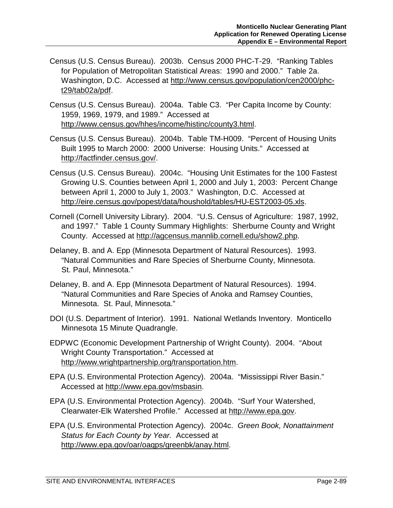- Census (U.S. Census Bureau). 2003b. Census 2000 PHC-T-29. "Ranking Tables for Population of Metropolitan Statistical Areas: 1990 and 2000." Table 2a. Washington, D.C. Accessed at http://www.census.gov/population/cen2000/phct29/tab02a/pdf.
- Census (U.S. Census Bureau). 2004a. Table C3. "Per Capita Income by County: 1959, 1969, 1979, and 1989." Accessed at http://www.census.gov/hhes/income/histinc/county3.html.
- Census (U.S. Census Bureau). 2004b. Table TM-H009. "Percent of Housing Units Built 1995 to March 2000: 2000 Universe: Housing Units." Accessed at http://factfinder.census.gov/.
- Census (U.S. Census Bureau). 2004c. "Housing Unit Estimates for the 100 Fastest Growing U.S. Counties between April 1, 2000 and July 1, 2003: Percent Change between April 1, 2000 to July 1, 2003." Washington, D.C. Accessed at http://eire.census.gov/popest/data/houshold/tables/HU-EST2003-05.xls.
- Cornell (Cornell University Library). 2004. "U.S. Census of Agriculture: 1987, 1992, and 1997." Table 1 County Summary Highlights: Sherburne County and Wright County. Accessed at http://agcensus.mannlib.cornell.edu/show2.php.
- Delaney, B. and A. Epp (Minnesota Department of Natural Resources). 1993. "Natural Communities and Rare Species of Sherburne County, Minnesota. St. Paul, Minnesota."
- Delaney, B. and A. Epp (Minnesota Department of Natural Resources). 1994. "Natural Communities and Rare Species of Anoka and Ramsey Counties, Minnesota. St. Paul, Minnesota."
- DOI (U.S. Department of Interior). 1991. National Wetlands Inventory. Monticello Minnesota 15 Minute Quadrangle.
- EDPWC (Economic Development Partnership of Wright County). 2004. "About Wright County Transportation." Accessed at http://www.wrightpartnership.org/transportation.htm.
- EPA (U.S. Environmental Protection Agency). 2004a. "Mississippi River Basin." Accessed at http://www.epa.gov/msbasin.
- EPA (U.S. Environmental Protection Agency). 2004b. "Surf Your Watershed, Clearwater-Elk Watershed Profile." Accessed at http://www.epa.gov.
- EPA (U.S. Environmental Protection Agency). 2004c. *Green Book, Nonattainment Status for Each County by Year.* Accessed at http://www.epa.gov/oar/oaqps/greenbk/anay.html.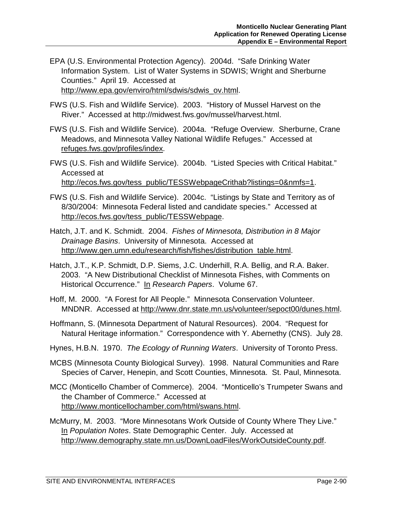- EPA (U.S. Environmental Protection Agency). 2004d. "Safe Drinking Water Information System. List of Water Systems in SDWIS; Wright and Sherburne Counties." April 19. Accessed at http://www.epa.gov/enviro/html/sdwis/sdwis\_ov.html.
- FWS (U.S. Fish and Wildlife Service). 2003. "History of Mussel Harvest on the River." Accessed at http://midwest.fws.gov/mussel/harvest.html.
- FWS (U.S. Fish and Wildlife Service). 2004a. "Refuge Overview. Sherburne, Crane Meadows, and Minnesota Valley National Wildlife Refuges." Accessed at refuges.fws.gov/profiles/index.
- FWS (U.S. Fish and Wildlife Service). 2004b. "Listed Species with Critical Habitat." Accessed at http://ecos.fws.gov/tess\_public/TESSWebpageCrithab?listings=0&nmfs=1.
- FWS (U.S. Fish and Wildlife Service). 2004c. "Listings by State and Territory as of 8/30/2004: Minnesota Federal listed and candidate species." Accessed at http://ecos.fws.gov/tess\_public/TESSWebpage.
- Hatch, J.T. and K. Schmidt. 2004. *Fishes of Minnesota, Distribution in 8 Major Drainage Basins*. University of Minnesota. Accessed at http://www.gen.umn.edu/research/fish/fishes/distribution\_table.html.
- Hatch, J.T., K.P. Schmidt, D.P. Siems, J.C. Underhill, R.A. Bellig, and R.A. Baker. 2003. "A New Distributional Checklist of Minnesota Fishes, with Comments on Historical Occurrence." In *Research Papers*. Volume 67.
- Hoff, M. 2000. "A Forest for All People." Minnesota Conservation Volunteer. MNDNR. Accessed at http://www.dnr.state.mn.us/volunteer/sepoct00/dunes.html.
- Hoffmann, S. (Minnesota Department of Natural Resources). 2004. "Request for Natural Heritage information." Correspondence with Y. Abernethy (CNS). July 28.
- Hynes, H.B.N. 1970. *The Ecology of Running Waters*. University of Toronto Press.
- MCBS (Minnesota County Biological Survey). 1998. Natural Communities and Rare Species of Carver, Henepin, and Scott Counties, Minnesota. St. Paul, Minnesota.
- MCC (Monticello Chamber of Commerce). 2004. "Monticello's Trumpeter Swans and the Chamber of Commerce." Accessed at http://www.monticellochamber.com/html/swans.html.
- McMurry, M. 2003. "More Minnesotans Work Outside of County Where They Live." In *Population Notes*. State Demographic Center. July. Accessed at http://www.demography.state.mn.us/DownLoadFiles/WorkOutsideCounty.pdf.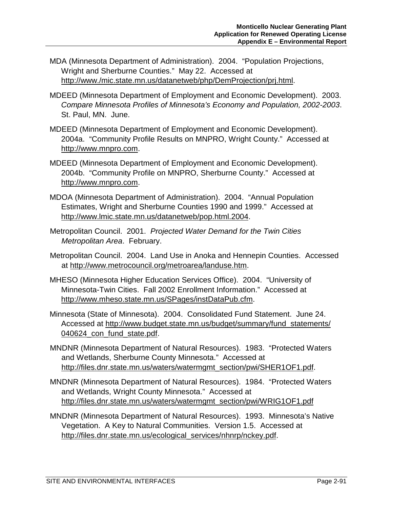- MDA (Minnesota Department of Administration). 2004. "Population Projections, Wright and Sherburne Counties." May 22. Accessed at http://www./mic.state.mn.us/datanetweb/php/DemProjection/prj.html.
- MDEED (Minnesota Department of Employment and Economic Development). 2003. *Compare Minnesota Profiles of Minnesota's Economy and Population, 2002-2003*. St. Paul, MN. June.
- MDEED (Minnesota Department of Employment and Economic Development). 2004a. "Community Profile Results on MNPRO, Wright County." Accessed at http://www.mnpro.com.
- MDEED (Minnesota Department of Employment and Economic Development). 2004b. "Community Profile on MNPRO, Sherburne County." Accessed at http://www.mnpro.com.
- MDOA (Minnesota Department of Administration). 2004. "Annual Population Estimates, Wright and Sherburne Counties 1990 and 1999." Accessed at http://www.lmic.state.mn.us/datanetweb/pop.html.2004.
- Metropolitan Council. 2001. *Projected Water Demand for the Twin Cities Metropolitan Area*. February.
- Metropolitan Council. 2004. Land Use in Anoka and Hennepin Counties. Accessed at http://www.metrocouncil.org/metroarea/landuse.htm.
- MHESO (Minnesota Higher Education Services Office). 2004. "University of Minnesota-Twin Cities. Fall 2002 Enrollment Information." Accessed at http://www.mheso.state.mn.us/SPages/instDataPub.cfm.
- Minnesota (State of Minnesota). 2004. Consolidated Fund Statement. June 24. Accessed at http://www.budget.state.mn.us/budget/summary/fund\_statements/ 040624\_con\_fund\_state.pdf.
- MNDNR (Minnesota Department of Natural Resources). 1983. "Protected Waters and Wetlands, Sherburne County Minnesota." Accessed at http://files.dnr.state.mn.us/waters/watermgmt\_section/pwi/SHER1OF1.pdf.
- MNDNR (Minnesota Department of Natural Resources). 1984. "Protected Waters and Wetlands, Wright County Minnesota." Accessed at http://files.dnr.state.mn.us/waters/watermgmt\_section/pwi/WRIG1OF1.pdf
- MNDNR (Minnesota Department of Natural Resources). 1993. Minnesota's Native Vegetation. A Key to Natural Communities. Version 1.5. Accessed at http://files.dnr.state.mn.us/ecological\_services/nhnrp/nckey.pdf.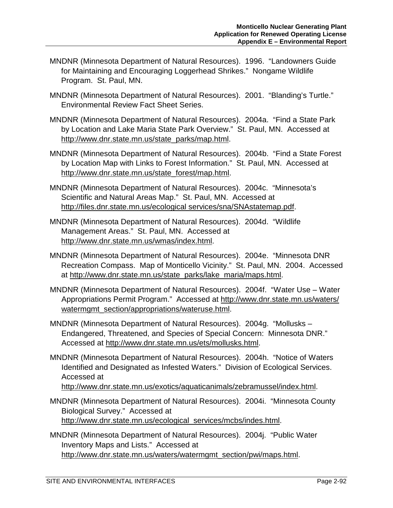- MNDNR (Minnesota Department of Natural Resources). 1996. "Landowners Guide for Maintaining and Encouraging Loggerhead Shrikes." Nongame Wildlife Program. St. Paul, MN.
- MNDNR (Minnesota Department of Natural Resources). 2001. "Blanding's Turtle." Environmental Review Fact Sheet Series.
- MNDNR (Minnesota Department of Natural Resources). 2004a. "Find a State Park by Location and Lake Maria State Park Overview." St. Paul, MN. Accessed at http://www.dnr.state.mn.us/state\_parks/map.html.
- MNDNR (Minnesota Department of Natural Resources). 2004b. "Find a State Forest by Location Map with Links to Forest Information." St. Paul, MN. Accessed at http://www.dnr.state.mn.us/state\_forest/map.html.
- MNDNR (Minnesota Department of Natural Resources). 2004c. "Minnesota's Scientific and Natural Areas Map." St. Paul, MN. Accessed at http://files.dnr.state.mn.us/ecological services/sna/SNAstatemap.pdf.
- MNDNR (Minnesota Department of Natural Resources). 2004d. "Wildlife Management Areas." St. Paul, MN. Accessed at http://www.dnr.state.mn.us/wmas/index.html.
- MNDNR (Minnesota Department of Natural Resources). 2004e. "Minnesota DNR Recreation Compass. Map of Monticello Vicinity." St. Paul, MN. 2004. Accessed at http://www.dnr.state.mn.us/state\_parks/lake\_maria/maps.html.
- MNDNR (Minnesota Department of Natural Resources). 2004f. "Water Use Water Appropriations Permit Program." Accessed at http://www.dnr.state.mn.us/waters/ watermgmt\_section/appropriations/wateruse.html.
- MNDNR (Minnesota Department of Natural Resources). 2004g. "Mollusks Endangered, Threatened, and Species of Special Concern: Minnesota DNR." Accessed at http://www.dnr.state.mn.us/ets/mollusks.html.
- MNDNR (Minnesota Department of Natural Resources). 2004h. "Notice of Waters Identified and Designated as Infested Waters." Division of Ecological Services. Accessed at

http://www.dnr.state.mn.us/exotics/aquaticanimals/zebramussel/index.html.

- MNDNR (Minnesota Department of Natural Resources). 2004i. "Minnesota County Biological Survey." Accessed at http://www.dnr.state.mn.us/ecological\_services/mcbs/indes.html.
- MNDNR (Minnesota Department of Natural Resources). 2004j. "Public Water Inventory Maps and Lists." Accessed at http://www.dnr.state.mn.us/waters/watermgmt\_section/pwi/maps.html.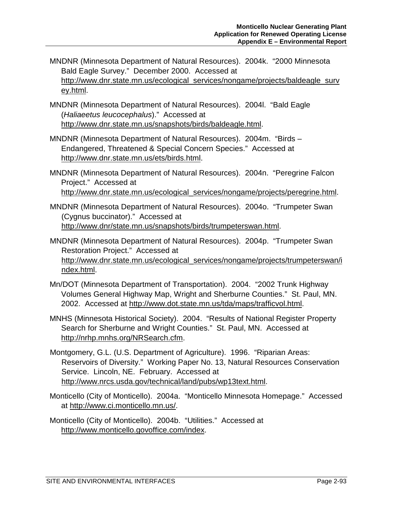- MNDNR (Minnesota Department of Natural Resources). 2004k. "2000 Minnesota Bald Eagle Survey." December 2000. Accessed at http://www.dnr.state.mn.us/ecological\_services/nongame/projects/baldeagle\_surv ey.html.
- MNDNR (Minnesota Department of Natural Resources). 2004l. "Bald Eagle (*Haliaeetus leucocephalus*)." Accessed at http://www.dnr.state.mn.us/snapshots/birds/baldeagle.html.
- MNDNR (Minnesota Department of Natural Resources). 2004m. "Birds Endangered, Threatened & Special Concern Species." Accessed at http://www.dnr.state.mn.us/ets/birds.html.
- MNDNR (Minnesota Department of Natural Resources). 2004n. "Peregrine Falcon Project." Accessed at http://www.dnr.state.mn.us/ecological\_services/nongame/projects/peregrine.html.
- MNDNR (Minnesota Department of Natural Resources). 2004o. "Trumpeter Swan (Cygnus buccinator)." Accessed at http://www.dnr/state.mn.us/snapshots/birds/trumpeterswan.html.
- MNDNR (Minnesota Department of Natural Resources). 2004p. "Trumpeter Swan Restoration Project." Accessed at http://www.dnr.state.mn.us/ecological\_services/nongame/projects/trumpeterswan/i ndex.html.
- Mn/DOT (Minnesota Department of Transportation). 2004. "2002 Trunk Highway Volumes General Highway Map, Wright and Sherburne Counties." St. Paul, MN. 2002. Accessed at http://www.dot.state.mn.us/tda/maps/trafficvol.html.
- MNHS (Minnesota Historical Society). 2004. "Results of National Register Property Search for Sherburne and Wright Counties." St. Paul, MN. Accessed at http://nrhp.mnhs.org/NRSearch.cfm.
- Montgomery, G.L. (U.S. Department of Agriculture). 1996. "Riparian Areas: Reservoirs of Diversity." Working Paper No. 13, Natural Resources Conservation Service. Lincoln, NE. February. Accessed at http://www.nrcs.usda.gov/technical/land/pubs/wp13text.html.
- Monticello (City of Monticello). 2004a. "Monticello Minnesota Homepage." Accessed at http://www.ci.monticello.mn.us/.
- Monticello (City of Monticello). 2004b. "Utilities." Accessed at http://www.monticello.govoffice.com/index.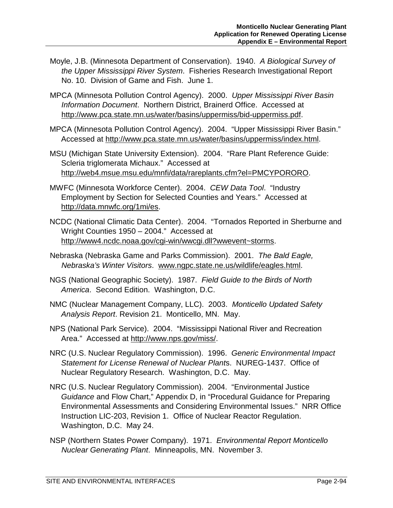- Moyle, J.B. (Minnesota Department of Conservation). 1940. *A Biological Survey of the Upper Mississippi River System*. Fisheries Research Investigational Report No. 10. Division of Game and Fish. June 1.
- MPCA (Minnesota Pollution Control Agency). 2000. *Upper Mississippi River Basin Information Document*. Northern District, Brainerd Office. Accessed at http://www.pca.state.mn.us/water/basins/uppermiss/bid-uppermiss.pdf.
- MPCA (Minnesota Pollution Control Agency). 2004. "Upper Mississippi River Basin." Accessed at http://www.pca.state.mn.us/water/basins/uppermiss/index.html.
- MSU (Michigan State University Extension). 2004. "Rare Plant Reference Guide: Scleria triglomerata Michaux." Accessed at http://web4.msue.msu.edu/mnfi/data/rareplants.cfm?el=PMCYPORORO.
- MWFC (Minnesota Workforce Center). 2004. *CEW Data Tool*. "Industry Employment by Section for Selected Counties and Years." Accessed at http://data.mnwfc.org/1mi/es.
- NCDC (National Climatic Data Center). 2004. "Tornados Reported in Sherburne and Wright Counties 1950 – 2004." Accessed at http://www4.ncdc.noaa.gov/cgi-win/wwcgi.dll?wwevent~storms.
- Nebraska (Nebraska Game and Parks Commission). 2001. *The Bald Eagle, Nebraska's Winter Visitors*. www.ngpc.state.ne.us/wildlife/eagles.html.
- NGS (National Geographic Society). 1987. *Field Guide to the Birds of North America*. Second Edition. Washington, D.C.
- NMC (Nuclear Management Company, LLC). 2003. *Monticello Updated Safety Analysis Report*. Revision 21. Monticello, MN. May.
- NPS (National Park Service). 2004. "Mississippi National River and Recreation Area." Accessed at http://www.nps.gov/miss/.
- NRC (U.S. Nuclear Regulatory Commission). 1996. *Generic Environmental Impact Statement for License Renewal of Nuclear Plant*s. NUREG-1437. Office of Nuclear Regulatory Research. Washington, D.C. May.
- NRC (U.S. Nuclear Regulatory Commission). 2004. "Environmental Justice *Guidance* and Flow Chart," Appendix D, in "Procedural Guidance for Preparing Environmental Assessments and Considering Environmental Issues." NRR Office Instruction LIC-203, Revision 1. Office of Nuclear Reactor Regulation. Washington, D.C. May 24.
- NSP (Northern States Power Company). 1971. *Environmental Report Monticello Nuclear Generating Plant*. Minneapolis, MN. November 3.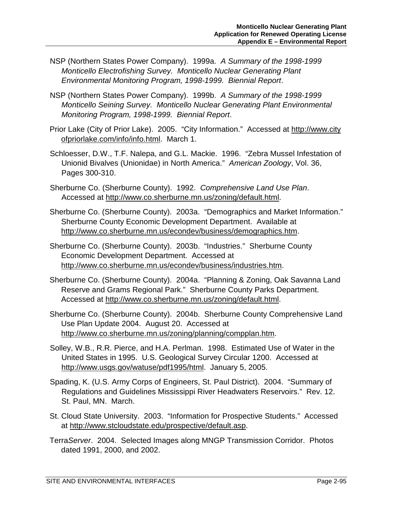- NSP (Northern States Power Company). 1999a. *A Summary of the 1998-1999 Monticello Electrofishing Survey. Monticello Nuclear Generating Plant Environmental Monitoring Program, 1998-1999. Biennial Report*.
- NSP (Northern States Power Company). 1999b. *A Summary of the 1998-1999 Monticello Seining Survey. Monticello Nuclear Generating Plant Environmental Monitoring Program, 1998-1999. Biennial Report*.
- Prior Lake (City of Prior Lake). 2005. "City Information." Accessed at http://www.city ofpriorlake.com/info/info.html. March 1.
- Schloesser, D.W., T.F. Nalepa, and G.L. Mackie. 1996. "Zebra Mussel Infestation of Unionid Bivalves (Unionidae) in North America." *American Zoology*, Vol. 36, Pages 300-310.
- Sherburne Co. (Sherburne County). 1992. *Comprehensive Land Use Plan*. Accessed at http://www.co.sherburne.mn.us/zoning/default.html.
- Sherburne Co. (Sherburne County). 2003a. "Demographics and Market Information." Sherburne County Economic Development Department. Available at http://www.co.sherburne.mn.us/econdev/business/demographics.htm.
- Sherburne Co. (Sherburne County). 2003b. "Industries." Sherburne County Economic Development Department. Accessed at http://www.co.sherburne.mn.us/econdev/business/industries.htm.
- Sherburne Co. (Sherburne County). 2004a. "Planning & Zoning, Oak Savanna Land Reserve and Grams Regional Park." Sherburne County Parks Department. Accessed at http://www.co.sherburne.mn.us/zoning/default.html.
- Sherburne Co. (Sherburne County). 2004b. Sherburne County Comprehensive Land Use Plan Update 2004. August 20. Accessed at http://www.co.sherburne.mn.us/zoning/planning/compplan.htm.
- Solley, W.B., R.R. Pierce, and H.A. Perlman. 1998. Estimated Use of Water in the United States in 1995. U.S. Geological Survey Circular 1200. Accessed at http://www.usgs.gov/watuse/pdf1995/html. January 5, 2005.
- Spading, K. (U.S. Army Corps of Engineers, St. Paul District). 2004. "Summary of Regulations and Guidelines Mississippi River Headwaters Reservoirs." Rev. 12. St. Paul, MN. March.
- St. Cloud State University. 2003. "Information for Prospective Students." Accessed at http://www.stcloudstate.edu/prospective/default.asp.
- Terra*Server*. 2004. Selected Images along MNGP Transmission Corridor. Photos dated 1991, 2000, and 2002.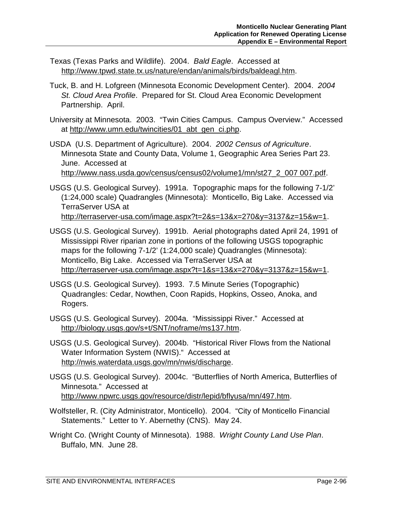- Texas (Texas Parks and Wildlife). 2004. *Bald Eagle*. Accessed at http://www.tpwd.state.tx.us/nature/endan/animals/birds/baldeagl.htm.
- Tuck, B. and H. Lofgreen (Minnesota Economic Development Center). 2004. *2004 St. Cloud Area Profile*. Prepared for St. Cloud Area Economic Development Partnership. April.
- University at Minnesota. 2003. "Twin Cities Campus. Campus Overview." Accessed at http://www.umn.edu/twincities/01\_abt\_gen\_ci.php.
- USDA (U.S. Department of Agriculture). 2004. *2002 Census of Agriculture*. Minnesota State and County Data, Volume 1, Geographic Area Series Part 23. June. Accessed at

http://www.nass.usda.gov/census/census02/volume1/mn/st27\_2\_007 007.pdf.

- USGS (U.S. Geological Survey). 1991a. Topographic maps for the following 7-1/2' (1:24,000 scale) Quadrangles (Minnesota): Monticello, Big Lake. Accessed via TerraServer USA at http://terraserver-usa.com/image.aspx?t=2&s=13&x=270&y=3137&z=15&w=1.
- USGS (U.S. Geological Survey). 1991b. Aerial photographs dated April 24, 1991 of Mississippi River riparian zone in portions of the following USGS topographic maps for the following 7-1/2' (1:24,000 scale) Quadrangles (Minnesota): Monticello, Big Lake. Accessed via TerraServer USA at http://terraserver-usa.com/image.aspx?t=1&s=13&x=270&y=3137&z=15&w=1.
- USGS (U.S. Geological Survey). 1993. 7.5 Minute Series (Topographic) Quadrangles: Cedar, Nowthen, Coon Rapids, Hopkins, Osseo, Anoka, and Rogers.
- USGS (U.S. Geological Survey). 2004a. "Mississippi River." Accessed at http://biology.usgs.gov/s+t/SNT/noframe/ms137.htm.
- USGS (U.S. Geological Survey). 2004b. "Historical River Flows from the National Water Information System (NWIS)." Accessed at http://nwis.waterdata.usgs.gov/mn/nwis/discharge.
- USGS (U.S. Geological Survey). 2004c. "Butterflies of North America, Butterflies of Minnesota." Accessed at http://www.npwrc.usgs.gov/resource/distr/lepid/bflyusa/mn/497.htm.
- Wolfsteller, R. (City Administrator, Monticello). 2004. "City of Monticello Financial Statements." Letter to Y. Abernethy (CNS). May 24.
- Wright Co. (Wright County of Minnesota). 1988. *Wright County Land Use Plan*. Buffalo, MN. June 28.